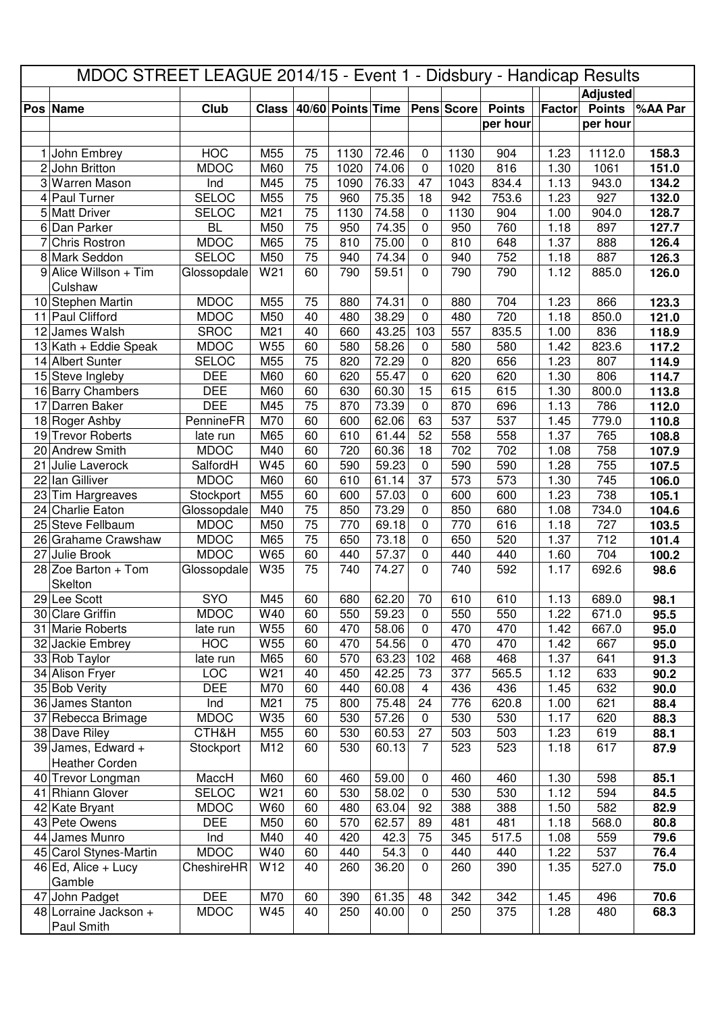|    | MDOC STREET LEAGUE 2014/15 - Event 1 - Didsbury - Handicap Results |                             |                 |          |                   |                |                |            |               |               |                 |         |
|----|--------------------------------------------------------------------|-----------------------------|-----------------|----------|-------------------|----------------|----------------|------------|---------------|---------------|-----------------|---------|
|    |                                                                    |                             |                 |          |                   |                |                |            |               |               | <b>Adjusted</b> |         |
|    | Pos Name                                                           | Club                        | <b>Class</b>    |          | 40/60 Points Time |                |                | Pens Score | <b>Points</b> | <b>Factor</b> | <b>Points</b>   | %AA Par |
|    |                                                                    |                             |                 |          |                   |                |                |            | per hour      |               | per hour        |         |
|    |                                                                    |                             |                 |          |                   |                |                |            |               |               |                 |         |
| 1  | John Embrey                                                        | <b>HOC</b>                  | M55             | 75       | 1130              | 72.46          | 0              | 1130       | 904           | 1.23          | 1112.0          | 158.3   |
| 2  | John Britton                                                       | <b>MDOC</b>                 | M60             | 75       | 1020              | 74.06          | 0              | 1020       | 816           | 1.30          | 1061            | 151.0   |
| 3  | Warren Mason                                                       | Ind                         | M45             | 75       | 1090              | 76.33          | 47             | 1043       | 834.4         | 1.13          | 943.0           | 134.2   |
| 4  | Paul Turner                                                        | <b>SELOC</b>                | M55             | 75       | 960               | 75.35          | 18             | 942        | 753.6         | 1.23          | 927             | 132.0   |
| 5  | <b>Matt Driver</b>                                                 | <b>SELOC</b>                | M <sub>21</sub> | 75       | 1130              | 74.58          | 0              | 1130       | 904           | 1.00          | 904.0           | 128.7   |
| 6  | Dan Parker                                                         | <b>BL</b>                   | M50             | 75       | 950               | 74.35          | 0              | 950        | 760           | 1.18          | 897             | 127.7   |
| 7  | Chris Rostron                                                      | <b>MDOC</b><br><b>SELOC</b> | M65<br>M50      | 75<br>75 | 810<br>940        | 75.00          | 0              | 810<br>940 | 648<br>752    | 1.37          | 888             | 126.4   |
|    | 8 Mark Seddon                                                      |                             | W21             | 60       | 790               | 74.34<br>59.51 | 0<br>$\Omega$  | 790        | 790           | 1.18<br>1.12  | 887<br>885.0    | 126.3   |
|    | 9 Alice Willson + Tim<br>Culshaw                                   | Glossopdale                 |                 |          |                   |                |                |            |               |               |                 | 126.0   |
|    | 10 Stephen Martin                                                  | <b>MDOC</b>                 | M55             | 75       | 880               | 74.31          | 0              | 880        | 704           | 1.23          | 866             | 123.3   |
|    | 11 Paul Clifford                                                   | <b>MDOC</b>                 | M50             | 40       | 480               | 38.29          | $\mathbf 0$    | 480        | 720           | 1.18          | 850.0           | 121.0   |
| 12 | James Walsh                                                        | <b>SROC</b>                 | M <sub>21</sub> | 40       | 660               | 43.25          | 103            | 557        | 835.5         | 1.00          | 836             | 118.9   |
|    | $13$ Kath + Eddie Speak                                            | <b>MDOC</b>                 | W55             | 60       | 580               | 58.26          | 0              | 580        | 580           | 1.42          | 823.6           | 117.2   |
|    | 14 Albert Sunter                                                   | <b>SELOC</b>                | M55             | 75       | 820               | 72.29          | 0              | 820        | 656           | 1.23          | 807             | 114.9   |
|    | 15 Steve Ingleby                                                   | <b>DEE</b>                  | M60             | 60       | 620               | 55.47          | 0              | 620        | 620           | 1.30          | 806             | 114.7   |
|    | 16 Barry Chambers                                                  | <b>DEE</b>                  | M60             | 60       | 630               | 60.30          | 15             | 615        | 615           | 1.30          | 800.0           | 113.8   |
| 17 | Darren Baker                                                       | <b>DEE</b>                  | M45             | 75       | 870               | 73.39          | 0              | 870        | 696           | 1.13          | 786             | 112.0   |
|    | 18 Roger Ashby                                                     | PennineFR                   | M70             | 60       | 600               | 62.06          | 63             | 537        | 537           | 1.45          | 779.0           | 110.8   |
|    | 19 Trevor Roberts                                                  | late run                    | M65             | 60       | 610               | 61.44          | 52             | 558        | 558           | 1.37          | 765             | 108.8   |
|    | 20 Andrew Smith                                                    | <b>MDOC</b>                 | M40             | 60       | 720               | 60.36          | 18             | 702        | 702           | 1.08          | 758             | 107.9   |
| 21 | Julie Laverock                                                     | SalfordH                    | W45             | 60       | 590               | 59.23          | $\mathbf 0$    | 590        | 590           | 1.28          | 755             | 107.5   |
| 22 | lan Gilliver                                                       | <b>MDOC</b>                 | M60             | 60       | 610               | 61.14          | 37             | 573        | 573           | 1.30          | 745             | 106.0   |
| 23 | Tim Hargreaves                                                     | Stockport                   | M55             | 60       | 600               | 57.03          | 0              | 600        | 600           | 1.23          | 738             | 105.1   |
|    | 24 Charlie Eaton                                                   | Glossopdale                 | M40             | 75       | 850               | 73.29          | 0              | 850        | 680           | 1.08          | 734.0           | 104.6   |
|    | 25 Steve Fellbaum                                                  | <b>MDOC</b>                 | M50             | 75       | 770               | 69.18          | 0              | 770        | 616           | 1.18          | 727             | 103.5   |
|    | 26 Grahame Crawshaw                                                | <b>MDOC</b>                 | M65             | 75       | 650               | 73.18          | 0              | 650        | 520           | 1.37          | 712             | 101.4   |
|    | 27 Julie Brook                                                     | <b>MDOC</b>                 | W65             | 60       | 440               | 57.37          | 0              | 440        | 440           | 1.60          | 704             | 100.2   |
|    | 28 Zoe Barton + Tom                                                | Glossopdale                 | W35             | 75       | 740               | 74.27          | 0              | 740        | 592           | 1.17          | 692.6           | 98.6    |
|    | Skelton                                                            |                             |                 |          |                   |                |                |            |               |               |                 |         |
|    | 29 Lee Scott                                                       | SYO                         | M45             | 60       | 680               | 62.20          | 70             | 610        | 610           | 1.13          | 689.0           | 98.1    |
|    | 30 Clare Griffin                                                   | <b>MDOC</b>                 | W40             | 60       | 550               | 59.23          | 0              | 550        | 550           | 1.22          | 671.0           | 95.5    |
| 31 | Marie Roberts                                                      | late run                    | W55             | 60       | 470               | 58.06          | 0              | 470        | 470           | 1.42          | 667.0           | 95.0    |
| 32 | Jackie Embrey                                                      | <b>HOC</b>                  | W55             | 60       | 470               | 54.56          | 0              | 470        | 470           | 1.42          | 667             | 95.0    |
|    | 33 Rob Taylor                                                      | late run                    | M65             | 60       | 570               | 63.23          | 102            | 468        | 468           | 1.37          | 641             | 91.3    |
|    | 34 Alison Fryer                                                    | <b>LOC</b>                  | W21             | 40       | 450               | 42.25          | 73             | 377        | 565.5         | 1.12          | 633             | 90.2    |
|    | 35 Bob Verity                                                      | <b>DEE</b>                  | M70             | 60       | 440               | 60.08          | 4              | 436        | 436           | 1.45          | 632             | 90.0    |
|    | 36 James Stanton                                                   | Ind                         | M <sub>21</sub> | 75       | 800               | 75.48          | 24             | 776        | 620.8         | 1.00          | 621             | 88.4    |
|    | 37 Rebecca Brimage                                                 | <b>MDOC</b>                 | W35             | 60       | 530               | 57.26          | 0              | 530        | 530           | 1.17          | 620             | 88.3    |
|    | 38 Dave Riley                                                      | CTH&H                       | M55             | 60       | 530               | 60.53          | 27             | 503        | 503           | 1.23          | 619             | 88.1    |
|    | 39 James, Edward +                                                 | Stockport                   | M12             | 60       | 530               | 60.13          | $\overline{7}$ | 523        | 523           | 1.18          | 617             | 87.9    |
|    | <b>Heather Corden</b>                                              |                             |                 |          |                   |                |                |            |               |               |                 |         |
|    | 40 Trevor Longman                                                  | MaccH                       | M60             | 60       | 460               | 59.00          | 0              | 460        | 460           | 1.30          | 598             | 85.1    |
|    | 41 Rhiann Glover                                                   | <b>SELOC</b>                | W21             | 60       | 530               | 58.02          | $\mathbf 0$    | 530        | 530           | 1.12          | 594             | 84.5    |
|    | 42 Kate Bryant                                                     | <b>MDOC</b>                 | W60             | 60       | 480               | 63.04          | 92             | 388        | 388           | 1.50          | 582             | 82.9    |
|    | 43 Pete Owens                                                      | <b>DEE</b>                  | M50             | 60       | 570               | 62.57          | 89             | 481        | 481           | 1.18          | 568.0           | 80.8    |
| 44 | James Munro                                                        | Ind                         | M40             | 40       | 420               | 42.3           | 75             | 345        | 517.5         | 1.08          | 559             | 79.6    |
|    | 45 Carol Stynes-Martin                                             | <b>MDOC</b>                 | W40             | 60       | 440               | 54.3           | 0              | 440        | 440           | 1.22          | 537             | 76.4    |
|    | $46$ Ed, Alice + Lucy                                              | CheshireHR                  | W12             | 40       | 260               | 36.20          | 0              | 260        | 390           | 1.35          | 527.0           | 75.0    |
|    | Gamble                                                             |                             |                 |          |                   |                |                |            |               |               |                 |         |
| 47 | John Padget                                                        | <b>DEE</b>                  | M70             | 60       | 390               | 61.35          | 48             | 342        | 342           | 1.45          | 496             | 70.6    |
|    | 48 Lorraine Jackson +                                              | <b>MDOC</b>                 | W45             | 40       | 250               | 40.00          | 0              | 250        | 375           | 1.28          | 480             | 68.3    |
|    | Paul Smith                                                         |                             |                 |          |                   |                |                |            |               |               |                 |         |